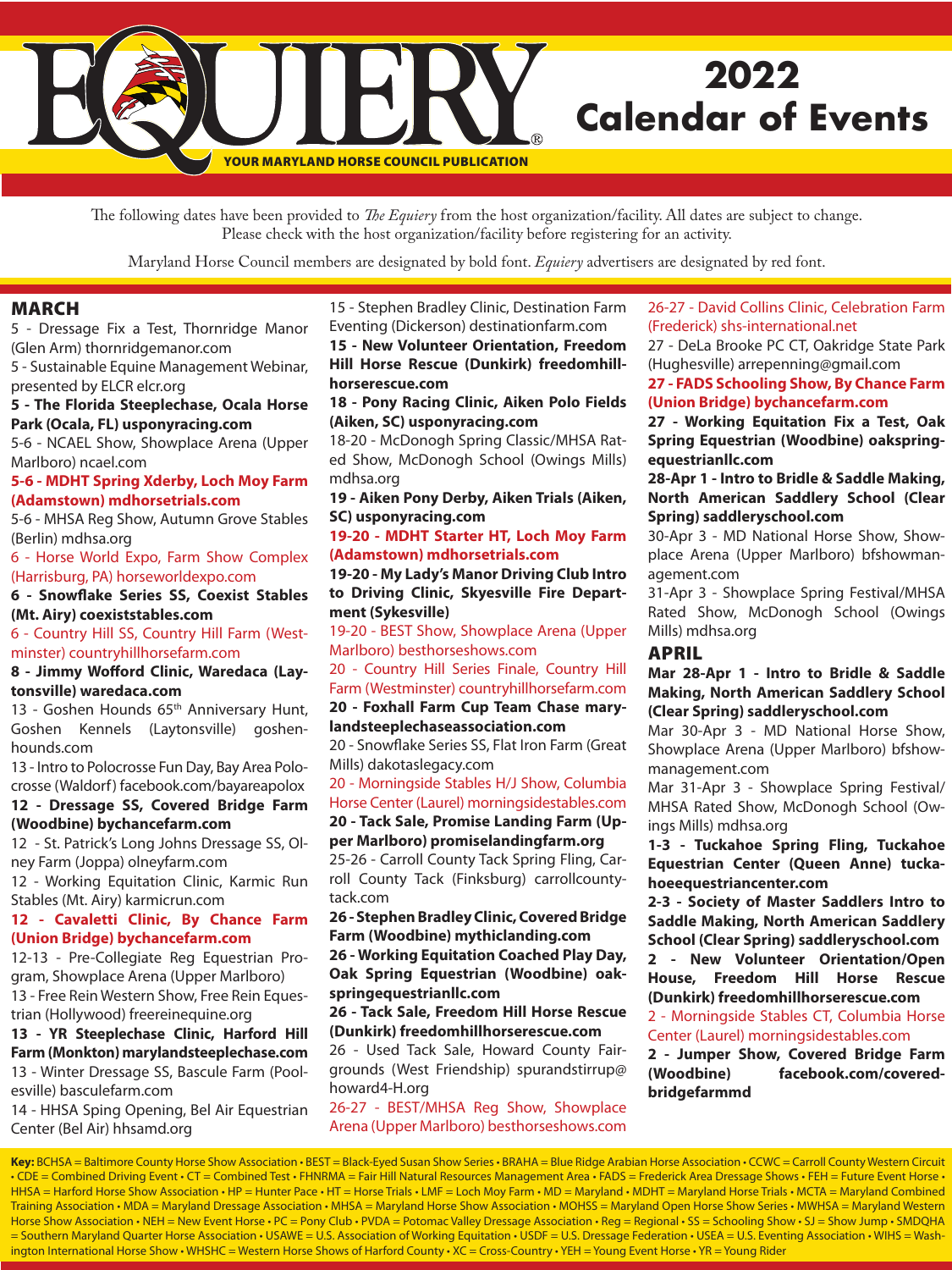

The following dates have been provided to *The Equiery* from the host organization/facility. All dates are subject to change. Please check with the host organization/facility before registering for an activity.

Maryland Horse Council members are designated by bold font. *Equiery* advertisers are designated by red font.

# MARCH

5 - Dressage Fix a Test, Thornridge Manor (Glen Arm) thornridgemanor.com

5 - Sustainable Equine Management Webinar, presented by ELCR elcr.org

### **5 - The Florida Steeplechase, Ocala Horse Park (Ocala, FL) usponyracing.com**

5-6 - NCAEL Show, Showplace Arena (Upper Marlboro) ncael.com

#### **5-6 - MDHT Spring Xderby, Loch Moy Farm (Adamstown) mdhorsetrials.com**

5-6 - MHSA Reg Show, Autumn Grove Stables (Berlin) mdhsa.org

6 - Horse World Expo, Farm Show Complex (Harrisburg, PA) horseworldexpo.com

**6 - Snowflake Series SS, Coexist Stables (Mt. Airy) coexiststables.com**

6 - Country Hill SS, Country Hill Farm (Westminster) countryhillhorsefarm.com

**8 - Jimmy Wofford Clinic, Waredaca (Laytonsville) waredaca.com**

13 - Goshen Hounds 65<sup>th</sup> Anniversary Hunt, Goshen Kennels (Laytonsville) goshenhounds.com

13 - Intro to Polocrosse Fun Day, Bay Area Polocrosse (Waldorf) facebook.com/bayareapolox

**12 - Dressage SS, Covered Bridge Farm (Woodbine) bychancefarm.com**

12 - St. Patrick's Long Johns Dressage SS, Olney Farm (Joppa) olneyfarm.com

12 - Working Equitation Clinic, Karmic Run Stables (Mt. Airy) karmicrun.com

# **12 - Cavaletti Clinic, By Chance Farm (Union Bridge) bychancefarm.com**

12-13 - Pre-Collegiate Reg Equestrian Program, Showplace Arena (Upper Marlboro) 13 - Free Rein Western Show, Free Rein Eques-

trian (Hollywood) freereinequine.org

**13 - YR Steeplechase Clinic, Harford Hill Farm (Monkton) marylandsteeplechase.com** 13 - Winter Dressage SS, Bascule Farm (Poolesville) basculefarm.com

14 - HHSA Sping Opening, Bel Air Equestrian Center (Bel Air) hhsamd.org

15 - Stephen Bradley Clinic, Destination Farm Eventing (Dickerson) destinationfarm.com

**15 - New Volunteer Orientation, Freedom Hill Horse Rescue (Dunkirk) freedomhillhorserescue.com**

**18 - Pony Racing Clinic, Aiken Polo Fields (Aiken, SC) usponyracing.com**

18-20 - McDonogh Spring Classic/MHSA Rated Show, McDonogh School (Owings Mills) mdhsa.org

**19 - Aiken Pony Derby, Aiken Trials (Aiken, SC) usponyracing.com**

#### **19-20 - MDHT Starter HT, Loch Moy Farm (Adamstown) mdhorsetrials.com**

**19-20 - My Lady's Manor Driving Club Intro to Driving Clinic, Skyesville Fire Department (Sykesville)** 

19-20 - BEST Show, Showplace Arena (Upper Marlboro) besthorseshows.com

20 - Country Hill Series Finale, Country Hill Farm (Westminster) countryhillhorsefarm.com

**20 - Foxhall Farm Cup Team Chase marylandsteeplechaseassociation.com**

20 - Snowflake Series SS, Flat Iron Farm (Great Mills) dakotaslegacy.com

20 - Morningside Stables H/J Show, Columbia Horse Center (Laurel) morningsidestables.com

**20 - Tack Sale, Promise Landing Farm (Upper Marlboro) promiselandingfarm.org**

25-26 - Carroll County Tack Spring Fling, Carroll County Tack (Finksburg) carrollcountytack.com

**26 - Stephen Bradley Clinic, Covered Bridge Farm (Woodbine) mythiclanding.com**

**26 - Working Equitation Coached Play Day, Oak Spring Equestrian (Woodbine) oakspringequestrianllc.com**

**26 - Tack Sale, Freedom Hill Horse Rescue (Dunkirk) freedomhillhorserescue.com**

26 - Used Tack Sale, Howard County Fairgrounds (West Friendship) spurandstirrup@ howard4-H.org

26-27 - BEST/MHSA Reg Show, Showplace Arena (Upper Marlboro) besthorseshows.com

# 26-27 - David Collins Clinic, Celebration Farm (Frederick) shs-international.net

27 - DeLa Brooke PC CT, Oakridge State Park (Hughesville) arrepenning@gmail.com

# **27 - FADS Schooling Show, By Chance Farm (Union Bridge) bychancefarm.com**

**27 - Working Equitation Fix a Test, Oak Spring Equestrian (Woodbine) oakspringequestrianllc.com**

**28-Apr 1 - Intro to Bridle & Saddle Making, North American Saddlery School (Clear Spring) saddleryschool.com**

30-Apr 3 - MD National Horse Show, Showplace Arena (Upper Marlboro) bfshowmanagement.com

31-Apr 3 - Showplace Spring Festival/MHSA Rated Show, McDonogh School (Owings Mills) mdhsa.org

#### APRIL

**Mar 28-Apr 1 - Intro to Bridle & Saddle Making, North American Saddlery School (Clear Spring) saddleryschool.com**

Mar 30-Apr 3 - MD National Horse Show, Showplace Arena (Upper Marlboro) bfshowmanagement.com

Mar 31-Apr 3 - Showplace Spring Festival/ MHSA Rated Show, McDonogh School (Owings Mills) mdhsa.org

**1-3 - Tuckahoe Spring Fling, Tuckahoe Equestrian Center (Queen Anne) tuckahoeequestriancenter.com**

**2-3 - Society of Master Saddlers Intro to Saddle Making, North American Saddlery School (Clear Spring) saddleryschool.com 2 - New Volunteer Orientation/Open** 

**House, Freedom Hill Horse Rescue (Dunkirk) freedomhillhorserescue.com**

2 - Morningside Stables CT, Columbia Horse Center (Laurel) morningsidestables.com

**2 - Jumper Show, Covered Bridge Farm (Woodbine) facebook.com/coveredbridgefarmmd**

**Key:** BCHSA = Baltimore County Horse Show Association • BEST = Black-Eyed Susan Show Series • BRAHA = Blue Ridge Arabian Horse Association • CCWC = Carroll County Western Circuit • CDE = Combined Driving Event • CT = Combined Test • FHNRMA = Fair Hill Natural Resources Management Area • FADS = Frederick Area Dressage Shows • FEH = Future Event Horse • HHSA = Harford Horse Show Association • HP = Hunter Pace • HT = Horse Trials • LMF = Loch Moy Farm • MD = Maryland • MDHT = Maryland Horse Trials • MCTA = Maryland Combined Training Association • MDA = Maryland Dressage Association • MHSA = Maryland Horse Show Association • MOHSS = Maryland Open Horse Show Series • MWHSA = Maryland Western Horse Show Association • NEH = New Event Horse • PC = Pony Club • PVDA = Potomac Valley Dressage Association • Reg = Regional • SS = Schooling Show • SJ = Show Jump • SMDQHA = Southern Maryland Quarter Horse Association • USAWE = U.S. Association of Working Equitation • USDF = U.S. Dressage Federation • USEA = U.S. Eventing Association • WIHS = Washington International Horse Show • WHSHC = Western Horse Shows of Harford County • XC = Cross-Country • YEH = Young Event Horse • YR = Young Rider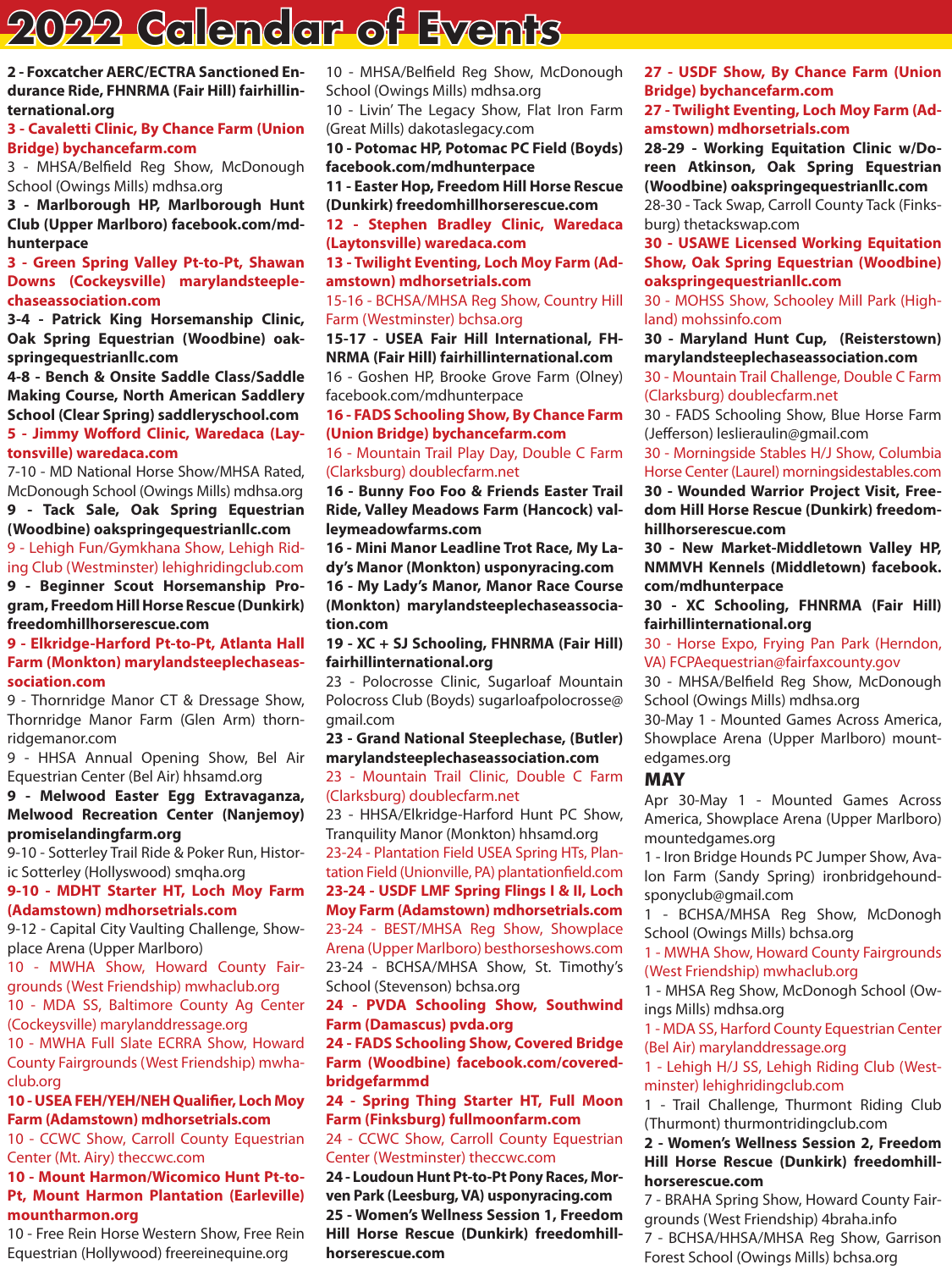**2 - Foxcatcher AERC/ECTRA Sanctioned Endurance Ride, FHNRMA (Fair Hill) fairhillinternational.org**

# **3 - Cavaletti Clinic, By Chance Farm (Union Bridge) bychancefarm.com**

3 - MHSA/Belfield Reg Show, McDonough School (Owings Mills) mdhsa.org

**3 - Marlborough HP, Marlborough Hunt Club (Upper Marlboro) facebook.com/mdhunterpace**

# **3 - Green Spring Valley Pt-to-Pt, Shawan Downs (Cockeysville) marylandsteeplechaseassociation.com**

**3-4 - Patrick King Horsemanship Clinic, Oak Spring Equestrian (Woodbine) oakspringequestrianllc.com**

**4-8 - Bench & Onsite Saddle Class/Saddle Making Course, North American Saddlery School (Clear Spring) saddleryschool.com 5 - Jimmy Wofford Clinic, Waredaca (Laytonsville) waredaca.com**

7-10 - MD National Horse Show/MHSA Rated, McDonough School (Owings Mills) mdhsa.org

**9 - Tack Sale, Oak Spring Equestrian (Woodbine) oakspringequestrianllc.com** 9 - Lehigh Fun/Gymkhana Show, Lehigh Rid-

ing Club (Westminster) lehighridingclub.com

**9 - Beginner Scout Horsemanship Program, Freedom Hill Horse Rescue (Dunkirk) freedomhillhorserescue.com**

# **9 - Elkridge-Harford Pt-to-Pt, Atlanta Hall Farm (Monkton) marylandsteeplechaseassociation.com**

9 - Thornridge Manor CT & Dressage Show, Thornridge Manor Farm (Glen Arm) thornridgemanor.com

9 - HHSA Annual Opening Show, Bel Air Equestrian Center (Bel Air) hhsamd.org

#### **9 - Melwood Easter Egg Extravaganza, Melwood Recreation Center (Nanjemoy) promiselandingfarm.org**

9-10 - Sotterley Trail Ride & Poker Run, Historic Sotterley (Hollyswood) smqha.org

# **9-10 - MDHT Starter HT, Loch Moy Farm (Adamstown) mdhorsetrials.com**

9-12 - Capital City Vaulting Challenge, Showplace Arena (Upper Marlboro)

10 - MWHA Show, Howard County Fairgrounds (West Friendship) mwhaclub.org 10 - MDA SS, Baltimore County Ag Center

(Cockeysville) marylanddressage.org 10 - MWHA Full Slate ECRRA Show, Howard

County Fairgrounds (West Friendship) mwhaclub.org

# **10 - USEA FEH/YEH/NEH Qualifier, Loch Moy Farm (Adamstown) mdhorsetrials.com**

10 - CCWC Show, Carroll County Equestrian Center (Mt. Airy) theccwc.com

#### **10 - Mount Harmon/Wicomico Hunt Pt-to-Pt, Mount Harmon Plantation (Earleville) mountharmon.org**

10 - Free Rein Horse Western Show, Free Rein Equestrian (Hollywood) freereinequine.org

10 - MHSA/Belfield Reg Show, McDonough School (Owings Mills) mdhsa.org 10 - Livin' The Legacy Show, Flat Iron Farm

(Great Mills) dakotaslegacy.com

**10 - Potomac HP, Potomac PC Field (Boyds) facebook.com/mdhunterpace**

**11 - Easter Hop, Freedom Hill Horse Rescue (Dunkirk) freedomhillhorserescue.com**

**12 - Stephen Bradley Clinic, Waredaca (Laytonsville) waredaca.com**

**13 - Twilight Eventing, Loch Moy Farm (Adamstown) mdhorsetrials.com**

15-16 - BCHSA/MHSA Reg Show, Country Hill Farm (Westminster) bchsa.org

**15-17 - USEA Fair Hill International, FH-NRMA (Fair Hill) fairhillinternational.com**

16 - Goshen HP, Brooke Grove Farm (Olney) facebook.com/mdhunterpace

#### **16 - FADS Schooling Show, By Chance Farm (Union Bridge) bychancefarm.com**

#### 16 - Mountain Trail Play Day, Double C Farm (Clarksburg) doublecfarm.net

**16 - Bunny Foo Foo & Friends Easter Trail Ride, Valley Meadows Farm (Hancock) valleymeadowfarms.com**

**16 - Mini Manor Leadline Trot Race, My Lady's Manor (Monkton) usponyracing.com**

**16 - My Lady's Manor, Manor Race Course (Monkton) marylandsteeplechaseassociation.com**

**19 - XC + SJ Schooling, FHNRMA (Fair Hill) fairhillinternational.org**

23 - Polocrosse Clinic, Sugarloaf Mountain Polocross Club (Boyds) sugarloafpolocrosse@ gmail.com

# **23 - Grand National Steeplechase, (Butler) marylandsteeplechaseassociation.com**

23 - Mountain Trail Clinic, Double C Farm (Clarksburg) doublecfarm.net

23 - HHSA/Elkridge-Harford Hunt PC Show, Tranquility Manor (Monkton) hhsamd.org 23-24 - Plantation Field USEA Spring HTs, Plan-

tation Field (Unionville, PA) plantationfield.com

**23-24 - USDF LMF Spring Flings I & II, Loch Moy Farm (Adamstown) mdhorsetrials.com** 23-24 - BEST/MHSA Reg Show, Showplace Arena (Upper Marlboro) besthorseshows.com 23-24 - BCHSA/MHSA Show, St. Timothy's School (Stevenson) bchsa.org

**24 - PVDA Schooling Show, Southwind Farm (Damascus) pvda.org**

**24 - FADS Schooling Show, Covered Bridge Farm (Woodbine) facebook.com/coveredbridgefarmmd**

**24 - Spring Thing Starter HT, Full Moon Farm (Finksburg) fullmoonfarm.com**

24 - CCWC Show, Carroll County Equestrian Center (Westminster) theccwc.com

**24 - Loudoun Hunt Pt-to-Pt Pony Races, Morven Park (Leesburg, VA) usponyracing.com**

**25 - Women's Wellness Session 1, Freedom Hill Horse Rescue (Dunkirk) freedomhillhorserescue.com**

# **27 - USDF Show, By Chance Farm (Union Bridge) bychancefarm.com**

#### **27 - Twilight Eventing, Loch Moy Farm (Adamstown) mdhorsetrials.com**

**28-29 - Working Equitation Clinic w/Doreen Atkinson, Oak Spring Equestrian (Woodbine) oakspringequestrianllc.com**

28-30 - Tack Swap, Carroll County Tack (Finksburg) thetackswap.com

**30 - USAWE Licensed Working Equitation Show, Oak Spring Equestrian (Woodbine) oakspringequestrianllc.com**

30 - MOHSS Show, Schooley Mill Park (Highland) mohssinfo.com

**30 - Maryland Hunt Cup, (Reisterstown) marylandsteeplechaseassociation.com**

30 - Mountain Trail Challenge, Double C Farm (Clarksburg) doublecfarm.net

30 - FADS Schooling Show, Blue Horse Farm (Jefferson) leslieraulin@gmail.com

30 - Morningside Stables H/J Show, Columbia Horse Center (Laurel) morningsidestables.com

**30 - Wounded Warrior Project Visit, Freedom Hill Horse Rescue (Dunkirk) freedomhillhorserescue.com**

**30 - New Market-Middletown Valley HP, NMMVH Kennels (Middletown) facebook. com/mdhunterpace**

**30 - XC Schooling, FHNRMA (Fair Hill) fairhillinternational.org**

30 - Horse Expo, Frying Pan Park (Herndon, VA) FCPAequestrian@fairfaxcounty.gov

30 - MHSA/Belfield Reg Show, McDonough School (Owings Mills) mdhsa.org

30-May 1 - Mounted Games Across America, Showplace Arena (Upper Marlboro) mountedgames.org

# **MAY**

Apr 30-May 1 - Mounted Games Across America, Showplace Arena (Upper Marlboro) mountedgames.org

1 - Iron Bridge Hounds PC Jumper Show, Avalon Farm (Sandy Spring) ironbridgehoundsponyclub@gmail.com

1 - BCHSA/MHSA Reg Show, McDonogh School (Owings Mills) bchsa.org

1 - MWHA Show, Howard County Fairgrounds (West Friendship) mwhaclub.org

1 - MHSA Reg Show, McDonogh School (Owings Mills) mdhsa.org

1 - MDA SS, Harford County Equestrian Center (Bel Air) marylanddressage.org

1 - Lehigh H/J SS, Lehigh Riding Club (Westminster) lehighridingclub.com

1 - Trail Challenge, Thurmont Riding Club (Thurmont) thurmontridingclub.com

**2 - Women's Wellness Session 2, Freedom Hill Horse Rescue (Dunkirk) freedomhillhorserescue.com**

7 - BRAHA Spring Show, Howard County Fairgrounds (West Friendship) 4braha.info 7 - BCHSA/HHSA/MHSA Reg Show, Garrison Forest School (Owings Mills) bchsa.org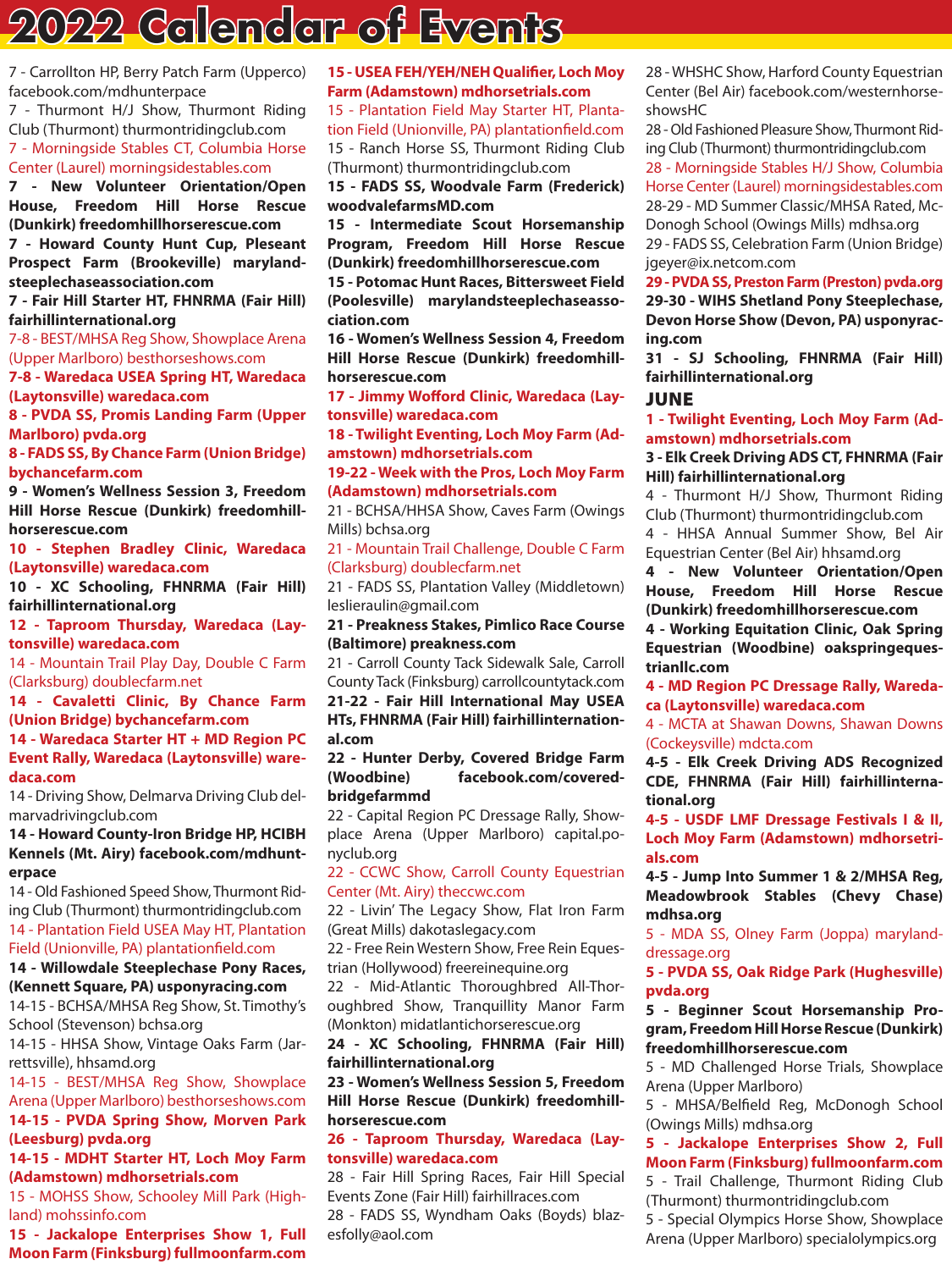7 - Carrollton HP, Berry Patch Farm (Upperco) facebook.com/mdhunterpace

7 - Thurmont H/J Show, Thurmont Riding Club (Thurmont) thurmontridingclub.com 7 - Morningside Stables CT, Columbia Horse

#### Center (Laurel) morningsidestables.com **7 - New Volunteer Orientation/Open**

**House, Freedom Hill Horse Rescue (Dunkirk) freedomhillhorserescue.com 7 - Howard County Hunt Cup, Pleseant Prospect Farm (Brookeville) marylandsteeplechaseassociation.com**

**7 - Fair Hill Starter HT, FHNRMA (Fair Hill) fairhillinternational.org**

7-8 - BEST/MHSA Reg Show, Showplace Arena (Upper Marlboro) besthorseshows.com

**7-8 - Waredaca USEA Spring HT, Waredaca (Laytonsville) waredaca.com**

**8 - PVDA SS, Promis Landing Farm (Upper Marlboro) pvda.org**

#### **8 - FADS SS, By Chance Farm (Union Bridge) bychancefarm.com**

**9 - Women's Wellness Session 3, Freedom Hill Horse Rescue (Dunkirk) freedomhillhorserescue.com**

**10 - Stephen Bradley Clinic, Waredaca (Laytonsville) waredaca.com**

**10 - XC Schooling, FHNRMA (Fair Hill) fairhillinternational.org**

**12 - Taproom Thursday, Waredaca (Laytonsville) waredaca.com**

14 - Mountain Trail Play Day, Double C Farm (Clarksburg) doublecfarm.net

**14 - Cavaletti Clinic, By Chance Farm (Union Bridge) bychancefarm.com**

**14 - Waredaca Starter HT + MD Region PC Event Rally, Waredaca (Laytonsville) waredaca.com**

14 - Driving Show, Delmarva Driving Club delmarvadrivingclub.com

**14 - Howard County-Iron Bridge HP, HCIBH Kennels (Mt. Airy) facebook.com/mdhunterpace**

14 - Old Fashioned Speed Show, Thurmont Riding Club (Thurmont) thurmontridingclub.com 14 - Plantation Field USEA May HT, Plantation Field (Unionville, PA) plantationfield.com

# **14 - Willowdale Steeplechase Pony Races, (Kennett Square, PA) usponyracing.com**

14-15 - BCHSA/MHSA Reg Show, St. Timothy's School (Stevenson) bchsa.org

14-15 - HHSA Show, Vintage Oaks Farm (Jarrettsville), hhsamd.org

14-15 - BEST/MHSA Reg Show, Showplace Arena (Upper Marlboro) besthorseshows.com **14-15 - PVDA Spring Show, Morven Park** 

**(Leesburg) pvda.org 14-15 - MDHT Starter HT, Loch Moy Farm (Adamstown) mdhorsetrials.com**

15 - MOHSS Show, Schooley Mill Park (Highland) mohssinfo.com

**15 - Jackalope Enterprises Show 1, Full Moon Farm (Finksburg) fullmoonfarm.com**

# **15 - USEA FEH/YEH/NEH Qualifier, Loch Moy Farm (Adamstown) mdhorsetrials.com**

15 - Plantation Field May Starter HT, Plantation Field (Unionville, PA) plantationfield.com 15 - Ranch Horse SS, Thurmont Riding Club (Thurmont) thurmontridingclub.com

**15 - FADS SS, Woodvale Farm (Frederick) woodvalefarmsMD.com**

**15 - Intermediate Scout Horsemanship Program, Freedom Hill Horse Rescue (Dunkirk) freedomhillhorserescue.com**

**15 - Potomac Hunt Races, Bittersweet Field (Poolesville) marylandsteeplechaseassociation.com**

**16 - Women's Wellness Session 4, Freedom Hill Horse Rescue (Dunkirk) freedomhillhorserescue.com**

**17 - Jimmy Wofford Clinic, Waredaca (Laytonsville) waredaca.com**

**18 - Twilight Eventing, Loch Moy Farm (Adamstown) mdhorsetrials.com**

**19-22 - Week with the Pros, Loch Moy Farm (Adamstown) mdhorsetrials.com**

21 - BCHSA/HHSA Show, Caves Farm (Owings Mills) bchsa.org

21 - Mountain Trail Challenge, Double C Farm (Clarksburg) doublecfarm.net

21 - FADS SS, Plantation Valley (Middletown) leslieraulin@gmail.com

**21 - Preakness Stakes, Pimlico Race Course (Baltimore) preakness.com**

21 - Carroll County Tack Sidewalk Sale, Carroll County Tack (Finksburg) carrollcountytack.com

**21-22 - Fair Hill International May USEA HTs, FHNRMA (Fair Hill) fairhillinternational.com**

**22 - Hunter Derby, Covered Bridge Farm (Woodbine) facebook.com/coveredbridgefarmmd**

22 - Capital Region PC Dressage Rally, Showplace Arena (Upper Marlboro) capital.ponyclub.org

22 - CCWC Show, Carroll County Equestrian Center (Mt. Airy) theccwc.com

22 - Livin' The Legacy Show, Flat Iron Farm (Great Mills) dakotaslegacy.com

22 - Free Rein Western Show, Free Rein Equestrian (Hollywood) freereinequine.org

22 - Mid-Atlantic Thoroughbred All-Thoroughbred Show, Tranquillity Manor Farm (Monkton) midatlantichorserescue.org

**24 - XC Schooling, FHNRMA (Fair Hill) fairhillinternational.org**

**23 - Women's Wellness Session 5, Freedom Hill Horse Rescue (Dunkirk) freedomhillhorserescue.com**

**26 - Taproom Thursday, Waredaca (Laytonsville) waredaca.com**

28 - Fair Hill Spring Races, Fair Hill Special Events Zone (Fair Hill) fairhillraces.com

28 - FADS SS, Wyndham Oaks (Boyds) blazesfolly@aol.com

28 - WHSHC Show, Harford County Equestrian Center (Bel Air) facebook.com/westernhorseshowsHC

28 - Old Fashioned Pleasure Show, Thurmont Riding Club (Thurmont) thurmontridingclub.com 28 - Morningside Stables H/J Show, Columbia Horse Center (Laurel) morningsidestables.com 28-29 - MD Summer Classic/MHSA Rated, Mc-Donogh School (Owings Mills) mdhsa.org

29 - FADS SS, Celebration Farm (Union Bridge) jgeyer@ix.netcom.com

#### **29 - PVDA SS, Preston Farm (Preston) pvda.org**

**29-30 - WIHS Shetland Pony Steeplechase, Devon Horse Show (Devon, PA) usponyracing.com**

**31 - SJ Schooling, FHNRMA (Fair Hill) fairhillinternational.org**

#### JUNE

**1 - Twilight Eventing, Loch Moy Farm (Adamstown) mdhorsetrials.com**

#### **3 - Elk Creek Driving ADS CT, FHNRMA (Fair Hill) fairhillinternational.org**

4 - Thurmont H/J Show, Thurmont Riding Club (Thurmont) thurmontridingclub.com 4 - HHSA Annual Summer Show, Bel Air Equestrian Center (Bel Air) hhsamd.org

**4 - New Volunteer Orientation/Open House, Freedom Hill Horse Rescue (Dunkirk) freedomhillhorserescue.com**

**4 - Working Equitation Clinic, Oak Spring Equestrian (Woodbine) oakspringequestrianllc.com**

**4 - MD Region PC Dressage Rally, Waredaca (Laytonsville) waredaca.com**

4 - MCTA at Shawan Downs, Shawan Downs (Cockeysville) mdcta.com

**4-5 - Elk Creek Driving ADS Recognized CDE, FHNRMA (Fair Hill) fairhillinternational.org**

**4-5 - USDF LMF Dressage Festivals I & II, Loch Moy Farm (Adamstown) mdhorsetrials.com**

**4-5 - Jump Into Summer 1 & 2/MHSA Reg, Meadowbrook Stables (Chevy Chase) mdhsa.org**

5 - MDA SS, Olney Farm (Joppa) marylanddressage.org

**5 - PVDA SS, Oak Ridge Park (Hughesville) pvda.org**

#### **5 - Beginner Scout Horsemanship Program, Freedom Hill Horse Rescue (Dunkirk) freedomhillhorserescue.com**

5 - MD Challenged Horse Trials, Showplace Arena (Upper Marlboro)

5 - MHSA/Belfield Reg, McDonogh School (Owings Mills) mdhsa.org

**5 - Jackalope Enterprises Show 2, Full Moon Farm (Finksburg) fullmoonfarm.com** 5 - Trail Challenge, Thurmont Riding Club (Thurmont) thurmontridingclub.com

5 - Special Olympics Horse Show, Showplace Arena (Upper Marlboro) specialolympics.org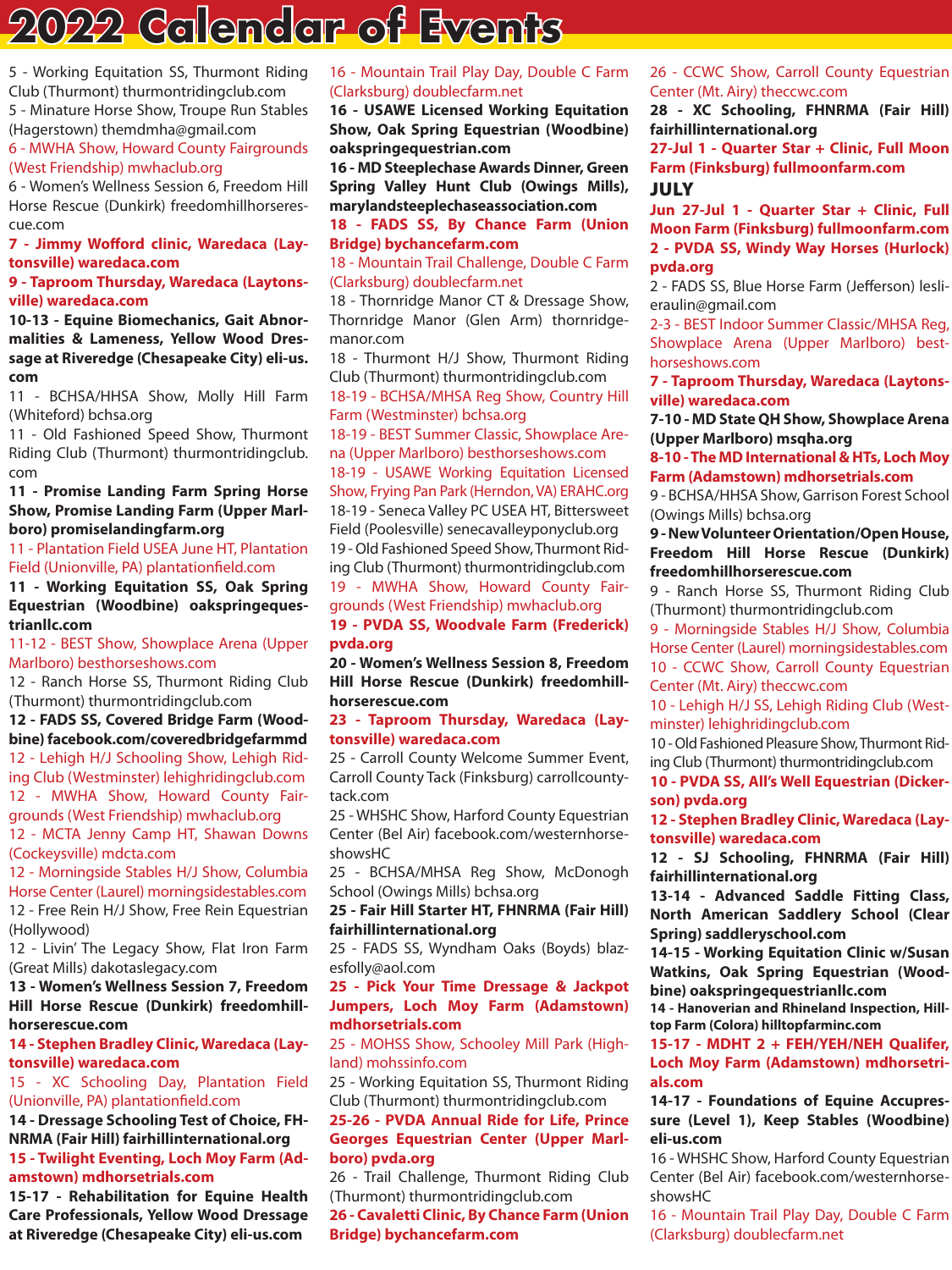5 - Working Equitation SS, Thurmont Riding Club (Thurmont) thurmontridingclub.com 5 - Minature Horse Show, Troupe Run Stables

(Hagerstown) themdmha@gmail.com 6 - MWHA Show, Howard County Fairgrounds

# (West Friendship) mwhaclub.org

6 - Women's Wellness Session 6, Freedom Hill Horse Rescue (Dunkirk) freedomhillhorserescue.com

### **7 - Jimmy Wofford clinic, Waredaca (Laytonsville) waredaca.com**

#### **9 - Taproom Thursday, Waredaca (Laytonsville) waredaca.com**

**10-13 - Equine Biomechanics, Gait Abnormalities & Lameness, Yellow Wood Dressage at Riveredge (Chesapeake City) eli-us. com**

11 - BCHSA/HHSA Show, Molly Hill Farm (Whiteford) bchsa.org

11 - Old Fashioned Speed Show, Thurmont Riding Club (Thurmont) thurmontridingclub. com

**11 - Promise Landing Farm Spring Horse Show, Promise Landing Farm (Upper Marlboro) promiselandingfarm.org**

11 - Plantation Field USEA June HT, Plantation Field (Unionville, PA) plantationfield.com

**11 - Working Equitation SS, Oak Spring Equestrian (Woodbine) oakspringequestrianllc.com**

#### 11-12 - BEST Show, Showplace Arena (Upper Marlboro) besthorseshows.com

12 - Ranch Horse SS, Thurmont Riding Club (Thurmont) thurmontridingclub.com

**12 - FADS SS, Covered Bridge Farm (Woodbine) facebook.com/coveredbridgefarmmd** 12 - Lehigh H/J Schooling Show, Lehigh Riding Club (Westminster) lehighridingclub.com

12 - MWHA Show, Howard County Fairgrounds (West Friendship) mwhaclub.org

12 - MCTA Jenny Camp HT, Shawan Downs (Cockeysville) mdcta.com

12 - Morningside Stables H/J Show, Columbia Horse Center (Laurel) morningsidestables.com 12 - Free Rein H/J Show, Free Rein Equestrian

(Hollywood)

12 - Livin' The Legacy Show, Flat Iron Farm (Great Mills) dakotaslegacy.com

**13 - Women's Wellness Session 7, Freedom Hill Horse Rescue (Dunkirk) freedomhillhorserescue.com**

# **14 - Stephen Bradley Clinic, Waredaca (Laytonsville) waredaca.com**

15 - XC Schooling Day, Plantation Field (Unionville, PA) plantationfield.com

**14 - Dressage Schooling Test of Choice, FH-NRMA (Fair Hill) fairhillinternational.org**

**15 - Twilight Eventing, Loch Moy Farm (Adamstown) mdhorsetrials.com**

**15-17 - Rehabilitation for Equine Health Care Professionals, Yellow Wood Dressage at Riveredge (Chesapeake City) eli-us.com**

# 16 - Mountain Trail Play Day, Double C Farm (Clarksburg) doublecfarm.net

**16 - USAWE Licensed Working Equitation Show, Oak Spring Equestrian (Woodbine) oakspringequestrian.com**

**16 - MD Steeplechase Awards Dinner, Green Spring Valley Hunt Club (Owings Mills), marylandsteeplechaseassociation.com**

**18 - FADS SS, By Chance Farm (Union Bridge) bychancefarm.com**

#### 18 - Mountain Trail Challenge, Double C Farm (Clarksburg) doublecfarm.net

18 - Thornridge Manor CT & Dressage Show, Thornridge Manor (Glen Arm) thornridgemanor.com

18 - Thurmont H/J Show, Thurmont Riding Club (Thurmont) thurmontridingclub.com

18-19 - BCHSA/MHSA Reg Show, Country Hill Farm (Westminster) bchsa.org

18-19 - BEST Summer Classic, Showplace Arena (Upper Marlboro) besthorseshows.com

18-19 - USAWE Working Equitation Licensed Show, Frying Pan Park (Herndon, VA) ERAHC.org 18-19 - Seneca Valley PC USEA HT, Bittersweet Field (Poolesville) senecavalleyponyclub.org 19 - Old Fashioned Speed Show, Thurmont Rid-

ing Club (Thurmont) thurmontridingclub.com 19 - MWHA Show, Howard County Fairgrounds (West Friendship) mwhaclub.org

**19 - PVDA SS, Woodvale Farm (Frederick) pvda.org**

**20 - Women's Wellness Session 8, Freedom Hill Horse Rescue (Dunkirk) freedomhillhorserescue.com**

#### **23 - Taproom Thursday, Waredaca (Laytonsville) waredaca.com**

25 - Carroll County Welcome Summer Event, Carroll County Tack (Finksburg) carrollcountytack.com

25 - WHSHC Show, Harford County Equestrian Center (Bel Air) facebook.com/westernhorseshowsHC

25 - BCHSA/MHSA Reg Show, McDonogh School (Owings Mills) bchsa.org

**25 - Fair Hill Starter HT, FHNRMA (Fair Hill) fairhillinternational.org**

25 - FADS SS, Wyndham Oaks (Boyds) blazesfolly@aol.com

# **25 - Pick Your Time Dressage & Jackpot Jumpers, Loch Moy Farm (Adamstown) mdhorsetrials.com**

25 - MOHSS Show, Schooley Mill Park (Highland) mohssinfo.com

25 - Working Equitation SS, Thurmont Riding Club (Thurmont) thurmontridingclub.com

# **25-26 - PVDA Annual Ride for Life, Prince Georges Equestrian Center (Upper Marlboro) pvda.org**

26 - Trail Challenge, Thurmont Riding Club (Thurmont) thurmontridingclub.com

**26 - Cavaletti Clinic, By Chance Farm (Union Bridge) bychancefarm.com**

# 26 - CCWC Show, Carroll County Equestrian Center (Mt. Airy) theccwc.com

**28 - XC Schooling, FHNRMA (Fair Hill) fairhillinternational.org**

**27-Jul 1 - Quarter Star + Clinic, Full Moon Farm (Finksburg) fullmoonfarm.com** JULY

**Jun 27-Jul 1 - Quarter Star + Clinic, Full Moon Farm (Finksburg) fullmoonfarm.com 2 - PVDA SS, Windy Way Horses (Hurlock) pvda.org**

2 - FADS SS, Blue Horse Farm (Jefferson) leslieraulin@gmail.com

2-3 - BEST Indoor Summer Classic/MHSA Reg, Showplace Arena (Upper Marlboro) besthorseshows.com

**7 - Taproom Thursday, Waredaca (Laytonsville) waredaca.com**

**7-10 - MD State QH Show, Showplace Arena (Upper Marlboro) msqha.org**

**8-10 - The MD International & HTs, Loch Moy Farm (Adamstown) mdhorsetrials.com**

9 - BCHSA/HHSA Show, Garrison Forest School (Owings Mills) bchsa.org

**9 - New Volunteer Orientation/Open House, Freedom Hill Horse Rescue (Dunkirk) freedomhillhorserescue.com**

9 - Ranch Horse SS, Thurmont Riding Club (Thurmont) thurmontridingclub.com

9 - Morningside Stables H/J Show, Columbia Horse Center (Laurel) morningsidestables.com

10 - CCWC Show, Carroll County Equestrian Center (Mt. Airy) theccwc.com

10 - Lehigh H/J SS, Lehigh Riding Club (Westminster) lehighridingclub.com

10 - Old Fashioned Pleasure Show, Thurmont Riding Club (Thurmont) thurmontridingclub.com

**10 - PVDA SS, All's Well Equestrian (Dickerson) pvda.org**

**12 - Stephen Bradley Clinic, Waredaca (Laytonsville) waredaca.com**

**12 - SJ Schooling, FHNRMA (Fair Hill) fairhillinternational.org**

**13-14 - Advanced Saddle Fitting Class, North American Saddlery School (Clear Spring) saddleryschool.com**

**14-15 - Working Equitation Clinic w/Susan Watkins, Oak Spring Equestrian (Woodbine) oakspringequestrianllc.com**

**14 - Hanoverian and Rhineland Inspection, Hilltop Farm (Colora) hilltopfarminc.com**

**15-17 - MDHT 2 + FEH/YEH/NEH Qualifer, Loch Moy Farm (Adamstown) mdhorsetrials.com**

**14-17 - Foundations of Equine Accupressure (Level 1), Keep Stables (Woodbine) eli-us.com**

16 - WHSHC Show, Harford County Equestrian Center (Bel Air) facebook.com/westernhorseshowsHC

16 - Mountain Trail Play Day, Double C Farm (Clarksburg) doublecfarm.net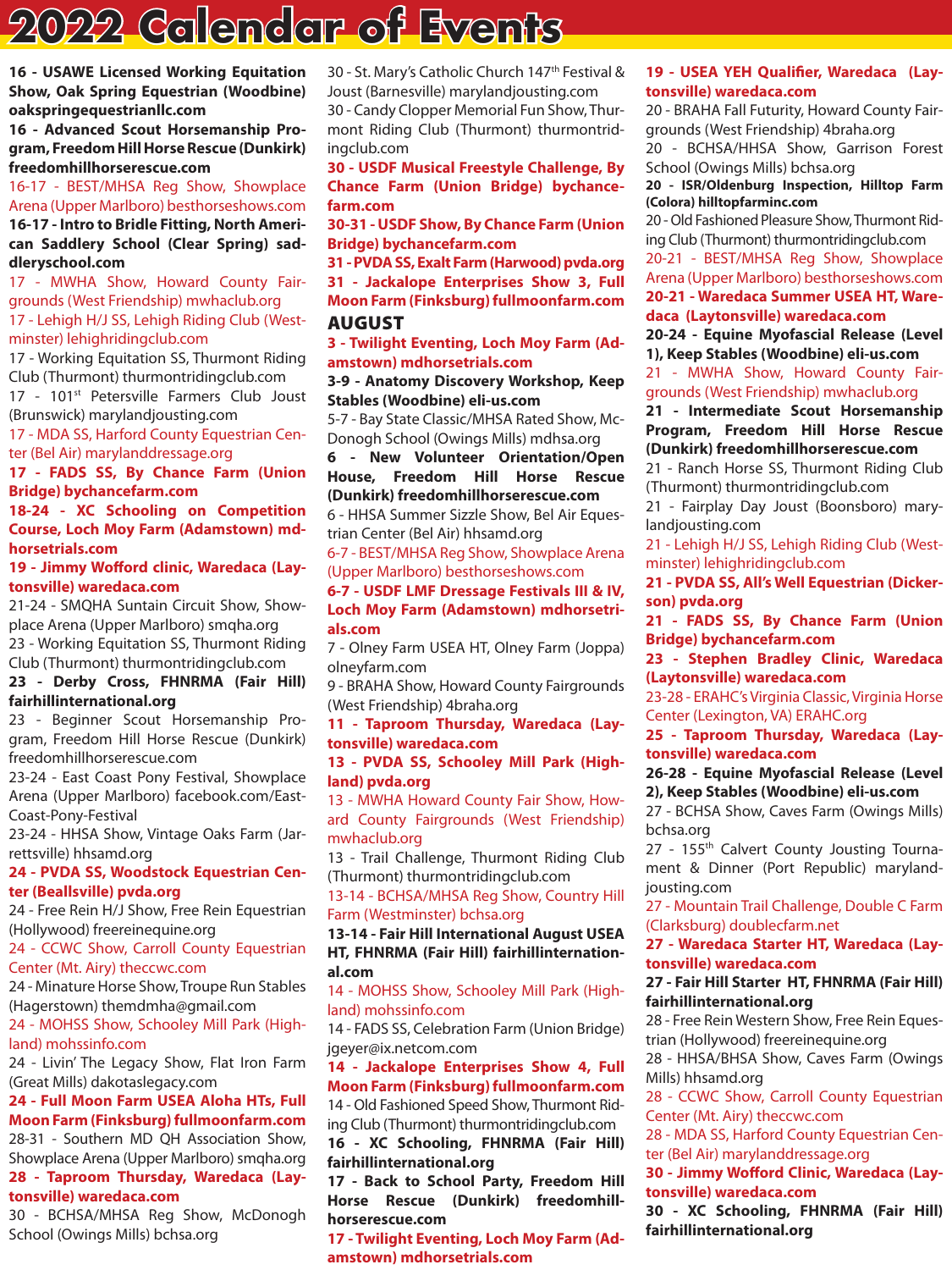**16 - USAWE Licensed Working Equitation Show, Oak Spring Equestrian (Woodbine) oakspringequestrianllc.com**

**16 - Advanced Scout Horsemanship Program, Freedom Hill Horse Rescue (Dunkirk) freedomhillhorserescue.com**

16-17 - BEST/MHSA Reg Show, Showplace Arena (Upper Marlboro) besthorseshows.com **16-17 - Intro to Bridle Fitting, North Ameri-**

**can Saddlery School (Clear Spring) saddleryschool.com**

17 - MWHA Show, Howard County Fairgrounds (West Friendship) mwhaclub.org 17 - Lehigh H/J SS, Lehigh Riding Club (Westminster) lehighridingclub.com

17 - Working Equitation SS, Thurmont Riding Club (Thurmont) thurmontridingclub.com

17 - 101<sup>st</sup> Petersville Farmers Club Joust (Brunswick) marylandjousting.com

17 - MDA SS, Harford County Equestrian Center (Bel Air) marylanddressage.org

**17 - FADS SS, By Chance Farm (Union Bridge) bychancefarm.com**

**18-24 - XC Schooling on Competition Course, Loch Moy Farm (Adamstown) mdhorsetrials.com**

**19 - Jimmy Wofford clinic, Waredaca (Laytonsville) waredaca.com**

21-24 - SMQHA Suntain Circuit Show, Showplace Arena (Upper Marlboro) smqha.org 23 - Working Equitation SS, Thurmont Riding

Club (Thurmont) thurmontridingclub.com

**23 - Derby Cross, FHNRMA (Fair Hill) fairhillinternational.org**

23 - Beginner Scout Horsemanship Program, Freedom Hill Horse Rescue (Dunkirk) freedomhillhorserescue.com

23-24 - East Coast Pony Festival, Showplace Arena (Upper Marlboro) facebook.com/East-Coast-Pony-Festival

23-24 - HHSA Show, Vintage Oaks Farm (Jarrettsville) hhsamd.org

# **24 - PVDA SS, Woodstock Equestrian Center (Beallsville) pvda.org**

24 - Free Rein H/J Show, Free Rein Equestrian (Hollywood) freereinequine.org

24 - CCWC Show, Carroll County Equestrian Center (Mt. Airy) theccwc.com

24 - Minature Horse Show, Troupe Run Stables (Hagerstown) themdmha@gmail.com

24 - MOHSS Show, Schooley Mill Park (Highland) mohssinfo.com

24 - Livin' The Legacy Show, Flat Iron Farm (Great Mills) dakotaslegacy.com

**24 - Full Moon Farm USEA Aloha HTs, Full Moon Farm (Finksburg) fullmoonfarm.com** 28-31 - Southern MD QH Association Show, Showplace Arena (Upper Marlboro) smqha.org

**28 - Taproom Thursday, Waredaca (Laytonsville) waredaca.com**

30 - BCHSA/MHSA Reg Show, McDonogh School (Owings Mills) bchsa.org

30 - St. Mary's Catholic Church 147<sup>th</sup> Festival & Joust (Barnesville) marylandjousting.com 30 - Candy Clopper Memorial Fun Show, Thurmont Riding Club (Thurmont) thurmontridingclub.com

**30 - USDF Musical Freestyle Challenge, By Chance Farm (Union Bridge) bychancefarm.com**

**30-31 - USDF Show, By Chance Farm (Union Bridge) bychancefarm.com**

**31 - PVDA SS, Exalt Farm (Harwood) pvda.org 31 - Jackalope Enterprises Show 3, Full Moon Farm (Finksburg) fullmoonfarm.com** AUGUST

**3 - Twilight Eventing, Loch Moy Farm (Adamstown) mdhorsetrials.com**

**3-9 - Anatomy Discovery Workshop, Keep Stables (Woodbine) eli-us.com**

5-7 - Bay State Classic/MHSA Rated Show, Mc-Donogh School (Owings Mills) mdhsa.org

**6 - New Volunteer Orientation/Open House, Freedom Hill Horse Rescue (Dunkirk) freedomhillhorserescue.com**

6 - HHSA Summer Sizzle Show, Bel Air Equestrian Center (Bel Air) hhsamd.org

6-7 - BEST/MHSA Reg Show, Showplace Arena (Upper Marlboro) besthorseshows.com

**6-7 - USDF LMF Dressage Festivals III & IV, Loch Moy Farm (Adamstown) mdhorsetrials.com**

7 - Olney Farm USEA HT, Olney Farm (Joppa) olneyfarm.com

9 - BRAHA Show, Howard County Fairgrounds (West Friendship) 4braha.org

**11 - Taproom Thursday, Waredaca (Laytonsville) waredaca.com**

**13 - PVDA SS, Schooley Mill Park (Highland) pvda.org**

13 - MWHA Howard County Fair Show, Howard County Fairgrounds (West Friendship) mwhaclub.org

13 - Trail Challenge, Thurmont Riding Club (Thurmont) thurmontridingclub.com

13-14 - BCHSA/MHSA Reg Show, Country Hill Farm (Westminster) bchsa.org

**13-14 - Fair Hill International August USEA HT, FHNRMA (Fair Hill) fairhillinternational.com**

14 - MOHSS Show, Schooley Mill Park (Highland) mohssinfo.com

14 - FADS SS, Celebration Farm (Union Bridge) jgeyer@ix.netcom.com

**14 - Jackalope Enterprises Show 4, Full Moon Farm (Finksburg) fullmoonfarm.com**

14 - Old Fashioned Speed Show, Thurmont Riding Club (Thurmont) thurmontridingclub.com

**16 - XC Schooling, FHNRMA (Fair Hill) fairhillinternational.org**

**17 - Back to School Party, Freedom Hill Horse Rescue (Dunkirk) freedomhillhorserescue.com**

**17 - Twilight Eventing, Loch Moy Farm (Adamstown) mdhorsetrials.com**

# **19 - USEA YEH Qualifier, Waredaca (Laytonsville) waredaca.com**

20 - BRAHA Fall Futurity, Howard County Fairgrounds (West Friendship) 4braha.org

20 - BCHSA/HHSA Show, Garrison Forest School (Owings Mills) bchsa.org

**20 - ISR/Oldenburg Inspection, Hilltop Farm (Colora) hilltopfarminc.com**

20 - Old Fashioned Pleasure Show, Thurmont Riding Club (Thurmont) thurmontridingclub.com 20-21 - BEST/MHSA Reg Show, Showplace

Arena (Upper Marlboro) besthorseshows.com **20-21 - Waredaca Summer USEA HT, Ware-**

**daca (Laytonsville) waredaca.com**

**20-24 - Equine Myofascial Release (Level 1), Keep Stables (Woodbine) eli-us.com**

21 - MWHA Show, Howard County Fairgrounds (West Friendship) mwhaclub.org

**21 - Intermediate Scout Horsemanship Program, Freedom Hill Horse Rescue (Dunkirk) freedomhillhorserescue.com**

21 - Ranch Horse SS, Thurmont Riding Club (Thurmont) thurmontridingclub.com

21 - Fairplay Day Joust (Boonsboro) marylandjousting.com

21 - Lehigh H/J SS, Lehigh Riding Club (Westminster) lehighridingclub.com

**21 - PVDA SS, All's Well Equestrian (Dickerson) pvda.org**

**21 - FADS SS, By Chance Farm (Union Bridge) bychancefarm.com**

**23 - Stephen Bradley Clinic, Waredaca (Laytonsville) waredaca.com**

23-28 - ERAHC's Virginia Classic, Virginia Horse Center (Lexington, VA) ERAHC.org

**25 - Taproom Thursday, Waredaca (Laytonsville) waredaca.com**

**26-28 - Equine Myofascial Release (Level 2), Keep Stables (Woodbine) eli-us.com**

27 - BCHSA Show, Caves Farm (Owings Mills) bchsa.org

27 - 155<sup>th</sup> Calvert County Jousting Tournament & Dinner (Port Republic) marylandjousting.com

27 - Mountain Trail Challenge, Double C Farm (Clarksburg) doublecfarm.net

**27 - Waredaca Starter HT, Waredaca (Laytonsville) waredaca.com**

#### **27 - Fair Hill Starter HT, FHNRMA (Fair Hill) fairhillinternational.org**

28 - Free Rein Western Show, Free Rein Equestrian (Hollywood) freereinequine.org

28 - HHSA/BHSA Show, Caves Farm (Owings Mills) hhsamd.org

28 - CCWC Show, Carroll County Equestrian Center (Mt. Airy) theccwc.com

28 - MDA SS, Harford County Equestrian Center (Bel Air) marylanddressage.org

**30 - Jimmy Wofford Clinic, Waredaca (Laytonsville) waredaca.com**

**30 - XC Schooling, FHNRMA (Fair Hill) fairhillinternational.org**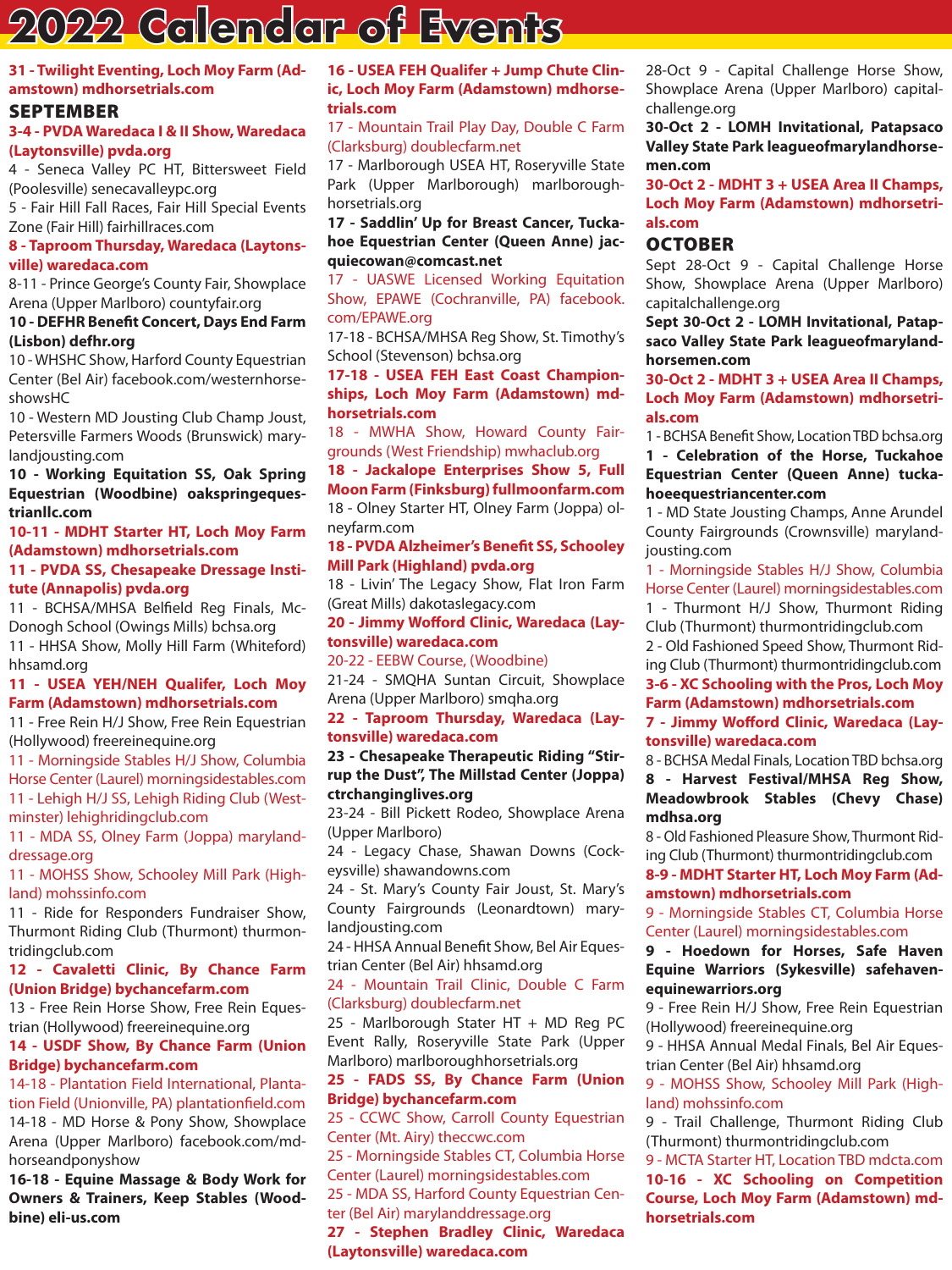# **31 - Twilight Eventing, Loch Moy Farm (Adamstown) mdhorsetrials.com**

# SEPTEMBER

### **3-4 - PVDA Waredaca I & II Show, Waredaca (Laytonsville) pvda.org**

4 - Seneca Valley PC HT, Bittersweet Field (Poolesville) senecavalleypc.org

5 - Fair Hill Fall Races, Fair Hill Special Events Zone (Fair Hill) fairhillraces.com

# **8 - Taproom Thursday, Waredaca (Laytonsville) waredaca.com**

8-11 - Prince George's County Fair, Showplace Arena (Upper Marlboro) countyfair.org

# **10 - DEFHR Benefit Concert, Days End Farm (Lisbon) defhr.org**

10 - WHSHC Show, Harford County Equestrian Center (Bel Air) facebook.com/westernhorseshowsHC

10 - Western MD Jousting Club Champ Joust, Petersville Farmers Woods (Brunswick) marylandjousting.com

# **10 - Working Equitation SS, Oak Spring Equestrian (Woodbine) oakspringequestrianllc.com**

#### **10-11 - MDHT Starter HT, Loch Moy Farm (Adamstown) mdhorsetrials.com**

#### **11 - PVDA SS, Chesapeake Dressage Institute (Annapolis) pvda.org**

11 - BCHSA/MHSA Belfield Reg Finals, Mc-Donogh School (Owings Mills) bchsa.org

11 - HHSA Show, Molly Hill Farm (Whiteford) hhsamd.org

### **11 - USEA YEH/NEH Qualifer, Loch Moy Farm (Adamstown) mdhorsetrials.com**

11 - Free Rein H/J Show, Free Rein Equestrian (Hollywood) freereinequine.org

11 - Morningside Stables H/J Show, Columbia Horse Center (Laurel) morningsidestables.com 11 - Lehigh H/J SS, Lehigh Riding Club (Westminster) lehighridingclub.com

11 - MDA SS, Olney Farm (Joppa) marylanddressage.org

#### 11 - MOHSS Show, Schooley Mill Park (Highland) mohssinfo.com

11 - Ride for Responders Fundraiser Show, Thurmont Riding Club (Thurmont) thurmontridingclub.com

#### **12 - Cavaletti Clinic, By Chance Farm (Union Bridge) bychancefarm.com**

13 - Free Rein Horse Show, Free Rein Equestrian (Hollywood) freereinequine.org

# **14 - USDF Show, By Chance Farm (Union Bridge) bychancefarm.com**

14-18 - Plantation Field International, Plantation Field (Unionville, PA) plantationfield.com 14-18 - MD Horse & Pony Show, Showplace Arena (Upper Marlboro) facebook.com/mdhorseandponyshow

**16-18 - Equine Massage & Body Work for Owners & Trainers, Keep Stables (Woodbine) eli-us.com**

#### **16 - USEA FEH Qualifer + Jump Chute Clinic, Loch Moy Farm (Adamstown) mdhorsetrials.com**

17 - Mountain Trail Play Day, Double C Farm (Clarksburg) doublecfarm.net

17 - Marlborough USEA HT, Roseryville State Park (Upper Marlborough) marlboroughhorsetrials.org

**17 - Saddlin' Up for Breast Cancer, Tuckahoe Equestrian Center (Queen Anne) jacquiecowan@comcast.net**

17 - UASWE Licensed Working Equitation Show, EPAWE (Cochranville, PA) facebook. com/EPAWE.org

17-18 - BCHSA/MHSA Reg Show, St. Timothy's School (Stevenson) bchsa.org

# **17-18 - USEA FEH East Coast Championships, Loch Moy Farm (Adamstown) mdhorsetrials.com**

18 - MWHA Show, Howard County Fairgrounds (West Friendship) mwhaclub.org

**18 - Jackalope Enterprises Show 5, Full Moon Farm (Finksburg) fullmoonfarm.com** 18 - Olney Starter HT, Olney Farm (Joppa) olneyfarm.com

**18 - PVDA Alzheimer's Benefit SS, Schooley Mill Park (Highland) pvda.org**

18 - Livin' The Legacy Show, Flat Iron Farm (Great Mills) dakotaslegacy.com

**20 - Jimmy Wofford Clinic, Waredaca (Lay-**

# **tonsville) waredaca.com**

20-22 - EEBW Course, (Woodbine)

21-24 - SMQHA Suntan Circuit, Showplace Arena (Upper Marlboro) smqha.org

#### **22 - Taproom Thursday, Waredaca (Laytonsville) waredaca.com**

**23 - Chesapeake Therapeutic Riding "Stirrup the Dust", The Millstad Center (Joppa) ctrchanginglives.org**

23-24 - Bill Pickett Rodeo, Showplace Arena (Upper Marlboro)

24 - Legacy Chase, Shawan Downs (Cockeysville) shawandowns.com

24 - St. Mary's County Fair Joust, St. Mary's County Fairgrounds (Leonardtown) marylandjousting.com

24 - HHSA Annual Benefit Show, Bel Air Equestrian Center (Bel Air) hhsamd.org

24 - Mountain Trail Clinic, Double C Farm (Clarksburg) doublecfarm.net

25 - Marlborough Stater HT + MD Reg PC Event Rally, Roseryville State Park (Upper Marlboro) marlboroughhorsetrials.org

**25 - FADS SS, By Chance Farm (Union Bridge) bychancefarm.com**

25 - CCWC Show, Carroll County Equestrian Center (Mt. Airy) theccwc.com

25 - Morningside Stables CT, Columbia Horse Center (Laurel) morningsidestables.com

25 - MDA SS, Harford County Equestrian Center (Bel Air) marylanddressage.org

**27 - Stephen Bradley Clinic, Waredaca (Laytonsville) waredaca.com**

28-Oct 9 - Capital Challenge Horse Show, Showplace Arena (Upper Marlboro) capitalchallenge.org

**30-Oct 2 - LOMH Invitational, Patapsaco Valley State Park leagueofmarylandhorsemen.com**

**30-Oct 2 - MDHT 3 + USEA Area II Champs, Loch Moy Farm (Adamstown) mdhorsetrials.com**

# **OCTOBER**

Sept 28-Oct 9 - Capital Challenge Horse Show, Showplace Arena (Upper Marlboro) capitalchallenge.org

**Sept 30-Oct 2 - LOMH Invitational, Patapsaco Valley State Park leagueofmarylandhorsemen.com**

**30-Oct 2 - MDHT 3 + USEA Area II Champs, Loch Moy Farm (Adamstown) mdhorsetrials.com**

1 - BCHSA Benefit Show, Location TBD bchsa.org **1 - Celebration of the Horse, Tuckahoe Equestrian Center (Queen Anne) tuckahoeequestriancenter.com**

1 - MD State Jousting Champs, Anne Arundel County Fairgrounds (Crownsville) marylandjousting.com

1 - Morningside Stables H/J Show, Columbia Horse Center (Laurel) morningsidestables.com 1 - Thurmont H/J Show, Thurmont Riding

Club (Thurmont) thurmontridingclub.com 2 - Old Fashioned Speed Show, Thurmont Rid-

ing Club (Thurmont) thurmontridingclub.com **3-6 - XC Schooling with the Pros, Loch Moy Farm (Adamstown) mdhorsetrials.com**

**7 - Jimmy Wofford Clinic, Waredaca (Laytonsville) waredaca.com**

8 - BCHSA Medal Finals, Location TBD bchsa.org **8 - Harvest Festival/MHSA Reg Show, Meadowbrook Stables (Chevy Chase) mdhsa.org**

8 - Old Fashioned Pleasure Show, Thurmont Riding Club (Thurmont) thurmontridingclub.com

**8-9 - MDHT Starter HT, Loch Moy Farm (Adamstown) mdhorsetrials.com**

9 - Morningside Stables CT, Columbia Horse Center (Laurel) morningsidestables.com

#### **9 - Hoedown for Horses, Safe Haven Equine Warriors (Sykesville) safehavenequinewarriors.org**

9 - Free Rein H/J Show, Free Rein Equestrian (Hollywood) freereinequine.org

9 - HHSA Annual Medal Finals, Bel Air Equestrian Center (Bel Air) hhsamd.org

9 - MOHSS Show, Schooley Mill Park (Highland) mohssinfo.com

9 - Trail Challenge, Thurmont Riding Club (Thurmont) thurmontridingclub.com

9 - MCTA Starter HT, Location TBD mdcta.com **10-16 - XC Schooling on Competition Course, Loch Moy Farm (Adamstown) mdhorsetrials.com**